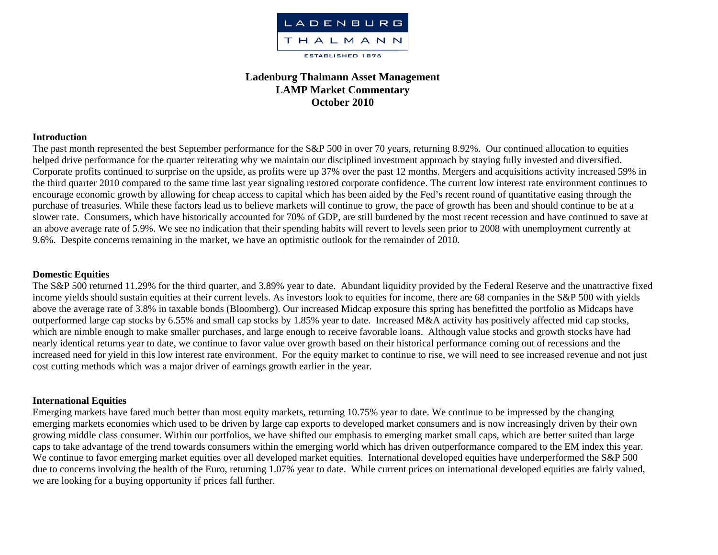

# **Ladenburg Thalmann Asset Management LAMP Market Commentary October 2010**

#### **Introduction**

The past month represented the best September performance for the S&P 500 in over 70 years, returning 8.92%. Our continued allocation to equities helped drive performance for the quarter reiterating why we maintain our disciplined investment approach by staying fully invested and diversified. Corporate profits continued to surprise on the upside, as profits were up 37% over the past 12 months. Mergers and acquisitions activity increased 59% in the third quarter 2010 compared to the same time last year signaling restored corporate confidence. The current low interest rate environment continues to encourage economic growth by allowing for cheap access to capital which has been aided by the Fed's recent round of quantitative easing through the purchase of treasuries. While these factors lead us to believe markets will continue to grow, the pace of growth has been and should continue to be at a slower rate. Consumers, which have historically accounted for 70% of GDP, are still burdened by the most recent recession and have continued to save at an above average rate of 5.9%. We see no indication that their spending habits will revert to levels seen prior to 2008 with unemployment currently at 9.6%. Despite concerns remaining in the market, we have an optimistic outlook for the remainder of 2010.

#### **Domestic Equities**

The S&P 500 returned 11.29% for the third quarter, and 3.89% year to date. Abundant liquidity provided by the Federal Reserve and the unattractive fixed income yields should sustain equities at their current levels. As investors look to equities for income, there are 68 companies in the S&P 500 with yields above the average rate of 3.8% in taxable bonds (Bloomberg). Our increased Midcap exposure this spring has benefitted the portfolio as Midcaps have outperformed large cap stocks by 6.55% and small cap stocks by 1.85% year to date. Increased M&A activity has positively affected mid cap stocks, which are nimble enough to make smaller purchases, and large enough to receive favorable loans. Although value stocks and growth stocks have had nearly identical returns year to date, we continue to favor value over growth based on their historical performance coming out of recessions and the increased need for yield in this low interest rate environment. For the equity market to continue to rise, we will need to see increased revenue and not just cost cutting methods which was a major driver of earnings growth earlier in the year.

#### **International Equities**

Emerging markets have fared much better than most equity markets, returning 10.75% year to date. We continue to be impressed by the changing emerging markets economies which used to be driven by large cap exports to developed market consumers and is now increasingly driven by their own growing middle class consumer. Within our portfolios, we have shifted our emphasis to emerging market small caps, which are better suited than large caps to take advantage of the trend towards consumers within the emerging world which has driven outperformance compared to the EM index this year. We continue to favor emerging market equities over all developed market equities. International developed equities have underperformed the S&P 500 due to concerns involving the health of the Euro, returning 1.07% year to date. While current prices on international developed equities are fairly valued, we are looking for a buying opportunity if prices fall further.